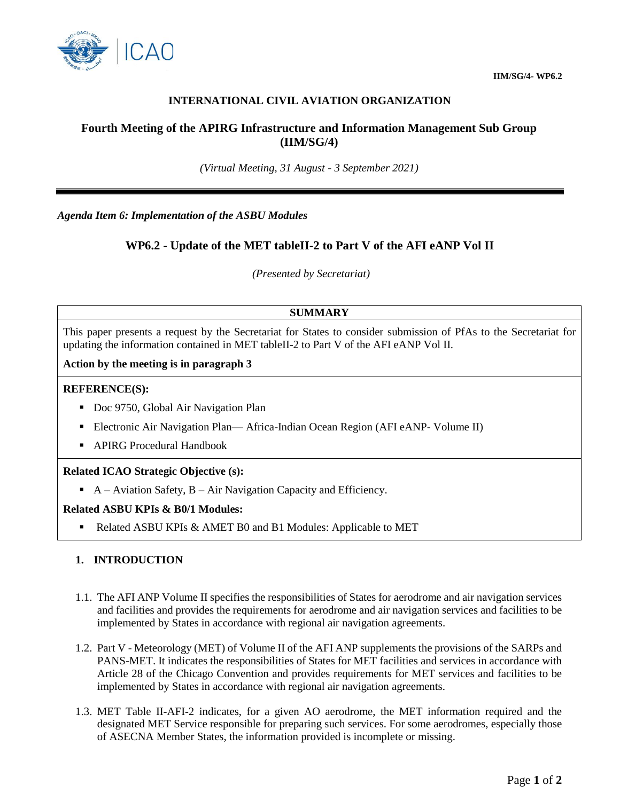

**IIM/SG/4- WP6.2**

## **INTERNATIONAL CIVIL AVIATION ORGANIZATION**

## **Fourth Meeting of the APIRG Infrastructure and Information Management Sub Group (IIM/SG/4)**

*(Virtual Meeting, 31 August - 3 September 2021)*

*Agenda Item 6: Implementation of the ASBU Modules*

# **WP6.2 - Update of the MET tableII-2 to Part V of the AFI eANP Vol II**

*(Presented by Secretariat)*

## **SUMMARY**

This paper presents a request by the Secretariat for States to consider submission of PfAs to the Secretariat for updating the information contained in MET tableII-2 to Part V of the AFI eANP Vol II.

**Action by the meeting is in paragraph 3**

#### **REFERENCE(S):**

- Doc 9750, Global Air Navigation Plan
- Electronic Air Navigation Plan— Africa-Indian Ocean Region (AFI eANP- Volume II)
- APIRG Procedural Handbook

#### **Related ICAO Strategic Objective (s):**

A – Aviation Safety,  $B$  – Air Navigation Capacity and Efficiency.

#### **Related ASBU KPIs & B0/1 Modules:**

Related ASBU KPIs & AMET B0 and B1 Modules: Applicable to MET

### **1. INTRODUCTION**

- 1.1. The AFI ANP Volume II specifies the responsibilities of States for aerodrome and air navigation services and facilities and provides the requirements for aerodrome and air navigation services and facilities to be implemented by States in accordance with regional air navigation agreements.
- 1.2. Part V Meteorology (MET) of Volume II of the AFI ANP supplements the provisions of the SARPs and PANS-MET. It indicates the responsibilities of States for MET facilities and services in accordance with Article 28 of the Chicago Convention and provides requirements for MET services and facilities to be implemented by States in accordance with regional air navigation agreements.
- 1.3. MET Table II-AFI-2 indicates, for a given AO aerodrome, the MET information required and the designated MET Service responsible for preparing such services. For some aerodromes, especially those of ASECNA Member States, the information provided is incomplete or missing.